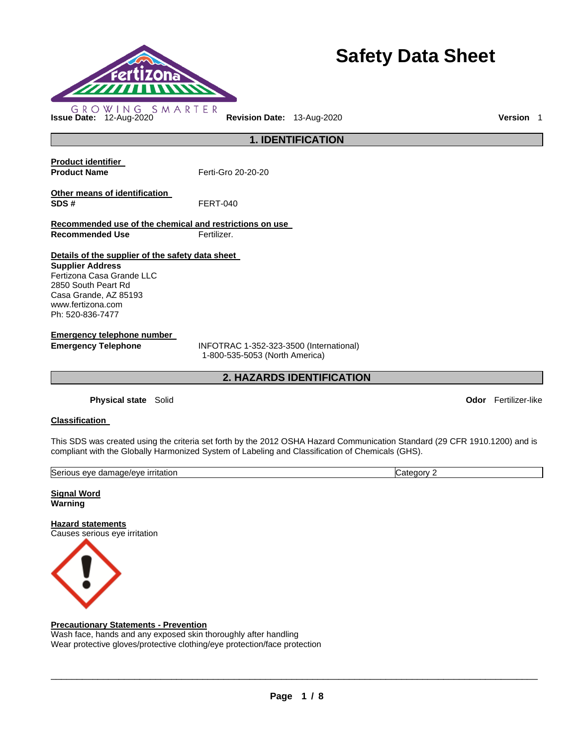

# **Safety Data Sheet**

**1. IDENTIFICATION** 

**Product identifier** 

**Product Name Ferti-Gro 20-20-20** 

**Other means of identification SDS #** FERT-040

**Recommended use of the chemical and restrictions on use Recommended Use Fertilizer.** 

**Details of the supplier of the safety data sheet** 

**Supplier Address** Fertizona Casa Grande LLC 2850 South Peart Rd Casa Grande, AZ 85193 www.fertizona.com Ph: 520-836-7477

**Emergency telephone number** 

**Emergency Telephone** INFOTRAC 1-352-323-3500 (International) 1-800-535-5053 (North America)

**2. HAZARDS IDENTIFICATION** 

**Physical state** Solid **Odor** Fertilizer-like

# **Classification**

This SDS was created using the criteria set forth by the 2012 OSHA Hazard Communication Standard (29 CFR 1910.1200) and is compliant with the Globally Harmonized System of Labeling and Classification of Chemicals (GHS).

| <b>Serious</b><br><u>irritation</u><br>e/eve<br>eve<br>aamade,<br>. | r<br>anr<br>∟דר |
|---------------------------------------------------------------------|-----------------|
|                                                                     |                 |

**Signal Word Warning** 

**Hazard statements** Causes serious eye irritation



# **Precautionary Statements - Prevention**

Wash face, hands and any exposed skin thoroughly after handling Wear protective gloves/protective clothing/eye protection/face protection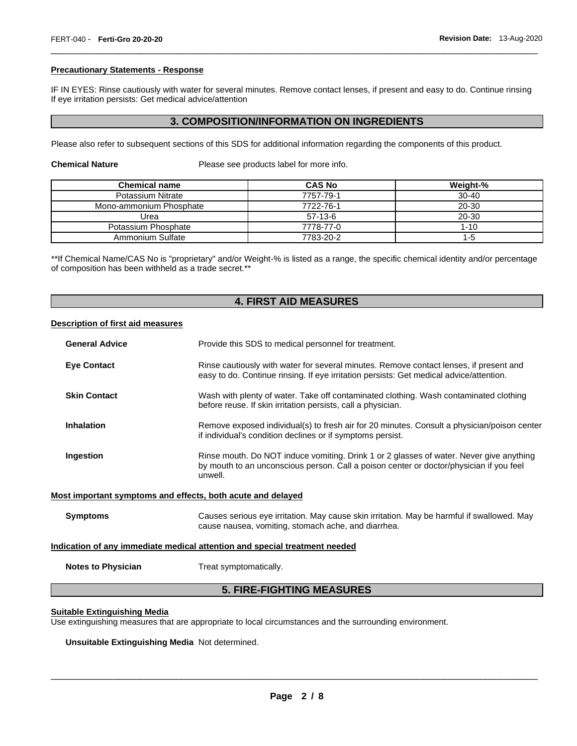#### **Precautionary Statements - Response**

IF IN EYES: Rinse cautiously with water for several minutes. Remove contact lenses, if present and easy to do. Continue rinsing If eye irritation persists: Get medical advice/attention

\_\_\_\_\_\_\_\_\_\_\_\_\_\_\_\_\_\_\_\_\_\_\_\_\_\_\_\_\_\_\_\_\_\_\_\_\_\_\_\_\_\_\_\_\_\_\_\_\_\_\_\_\_\_\_\_\_\_\_\_\_\_\_\_\_\_\_\_\_\_\_\_\_\_\_\_\_\_\_\_\_\_\_\_\_\_\_\_\_\_\_\_\_

# **3. COMPOSITION/INFORMATION ON INGREDIENTS**

Please also refer to subsequent sections of this SDS for additional information regarding the components of this product.

**Chemical Nature Please see products label for more info.** 

| <b>Chemical name</b>    | <b>CAS No</b> | Weight-%  |
|-------------------------|---------------|-----------|
| Potassium Nitrate       | 7757-79-1     | $30 - 40$ |
| Mono-ammonium Phosphate | 7722-76-1     | 20-30     |
| Urea                    | $57-13-6$     | 20-30     |
| Potassium Phosphate     | 7778-77-0     | $1 - 10$  |
| Ammonium Sulfate        | 7783-20-2     | 1-5       |

\*\*If Chemical Name/CAS No is "proprietary" and/or Weight-% is listed as a range, the specific chemical identity and/or percentage of composition has been withheld as a trade secret.\*\*

# **4. FIRST AID MEASURES**

#### **Description of first aid measures**

| <b>General Advice</b>                                                      | Provide this SDS to medical personnel for treatment.                                                                                                                                          |  |
|----------------------------------------------------------------------------|-----------------------------------------------------------------------------------------------------------------------------------------------------------------------------------------------|--|
| <b>Eye Contact</b>                                                         | Rinse cautiously with water for several minutes. Remove contact lenses, if present and<br>easy to do. Continue rinsing. If eye irritation persists: Get medical advice/attention.             |  |
| <b>Skin Contact</b>                                                        | Wash with plenty of water. Take off contaminated clothing. Wash contaminated clothing<br>before reuse. If skin irritation persists, call a physician.                                         |  |
| Inhalation                                                                 | Remove exposed individual(s) to fresh air for 20 minutes. Consult a physician/poison center<br>if individual's condition declines or if symptoms persist.                                     |  |
| Ingestion                                                                  | Rinse mouth. Do NOT induce vomiting. Drink 1 or 2 glasses of water. Never give anything<br>by mouth to an unconscious person. Call a poison center or doctor/physician if you feel<br>unwell. |  |
| Most important symptoms and effects, both acute and delayed                |                                                                                                                                                                                               |  |
| <b>Symptoms</b>                                                            | Causes serious eye irritation. May cause skin irritation. May be harmful if swallowed. May<br>cause nausea, vomiting, stomach ache, and diarrhea.                                             |  |
| Indication of any immediate medical attention and special treatment needed |                                                                                                                                                                                               |  |
| <b>Notes to Physician</b>                                                  | Treat symptomatically.                                                                                                                                                                        |  |
| <b>5. FIRE-FIGHTING MEASURES</b>                                           |                                                                                                                                                                                               |  |

#### **Suitable Extinguishing Media**

Use extinguishing measures that are appropriate to local circumstances and the surrounding environment.

**Unsuitable Extinguishing Media** Not determined.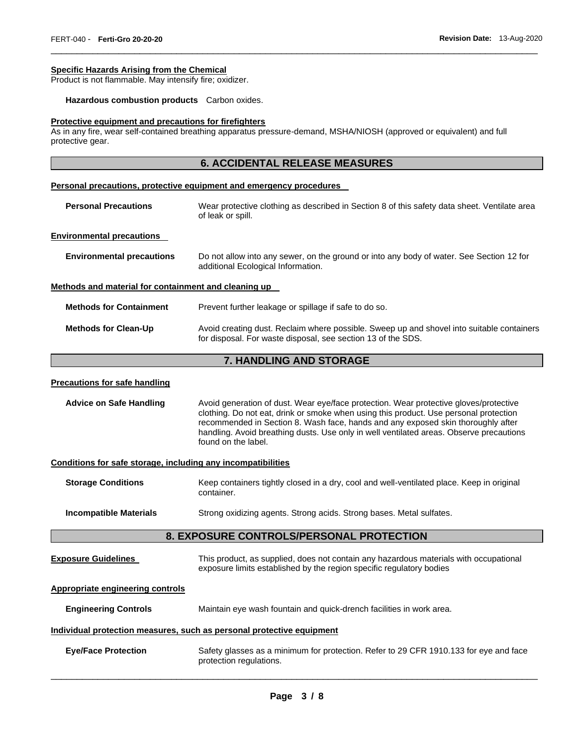#### **Specific Hazards Arising from the Chemical**

Product is not flammable. May intensify fire; oxidizer.

**Hazardous combustion products** Carbon oxides.

#### **Protective equipment and precautions for firefighters**

As in any fire, wear self-contained breathing apparatus pressure-demand, MSHA/NIOSH (approved or equivalent) and full protective gear.

# **6. ACCIDENTAL RELEASE MEASURES**

\_\_\_\_\_\_\_\_\_\_\_\_\_\_\_\_\_\_\_\_\_\_\_\_\_\_\_\_\_\_\_\_\_\_\_\_\_\_\_\_\_\_\_\_\_\_\_\_\_\_\_\_\_\_\_\_\_\_\_\_\_\_\_\_\_\_\_\_\_\_\_\_\_\_\_\_\_\_\_\_\_\_\_\_\_\_\_\_\_\_\_\_\_

#### **Personal precautions, protective equipment and emergency procedures**

| <b>Personal Precautions</b>      | Wear protective clothing as described in Section 8 of this safety data sheet. Ventilate area<br>of leak or spill.              |
|----------------------------------|--------------------------------------------------------------------------------------------------------------------------------|
| <b>Environmental precautions</b> |                                                                                                                                |
| <b>Environmental precautions</b> | Do not allow into any sewer, on the ground or into any body of water. See Section 12 for<br>additional Ecological Information. |

#### **Methods and material for containment and cleaning up**

| <b>Methods for Containment</b> | Prevent further leakage or spillage if safe to do so.                                                                                                     |
|--------------------------------|-----------------------------------------------------------------------------------------------------------------------------------------------------------|
| <b>Methods for Clean-Up</b>    | Avoid creating dust. Reclaim where possible. Sweep up and shovel into suitable containers<br>for disposal. For waste disposal, see section 13 of the SDS. |

# **7. HANDLING AND STORAGE**

#### **Precautions for safe handling**

**Advice on Safe Handling** Avoid generation of dust. Wear eye/face protection. Wear protective gloves/protective clothing. Do not eat, drink or smoke when using this product. Use personal protection recommended in Section 8. Wash face, hands and any exposed skin thoroughly after handling. Avoid breathing dusts. Use only in well ventilated areas. Observe precautions found on the label.

#### **Conditions for safe storage, including any incompatibilities**

| <b>Storage Conditions</b> | Keep containers tightly closed in a dry, cool and well-ventilated place. Keep in original<br>container. |
|---------------------------|---------------------------------------------------------------------------------------------------------|
|                           |                                                                                                         |

**Incompatible Materials Strong oxidizing agents. Strong acids. Strong bases. Metal sulfates.** 

#### **8. EXPOSURE CONTROLS/PERSONAL PROTECTION**

| <b>Exposure Guidelines</b> | This product, as supplied, does not contain any hazardous materials with occupational |
|----------------------------|---------------------------------------------------------------------------------------|
|                            | exposure limits established by the region specific regulatory bodies                  |

#### **Appropriate engineering controls**

**Engineering Controls** Maintain eye wash fountain and quick-drench facilities in work area.

#### **Individual protection measures, such as personal protective equipment**

| <b>Eye/Face Protection</b> | Safety glasses as a minimum for protection. Refer to 29 CFR 1910.133 for eye and face |  |
|----------------------------|---------------------------------------------------------------------------------------|--|
|                            | protection regulations.                                                               |  |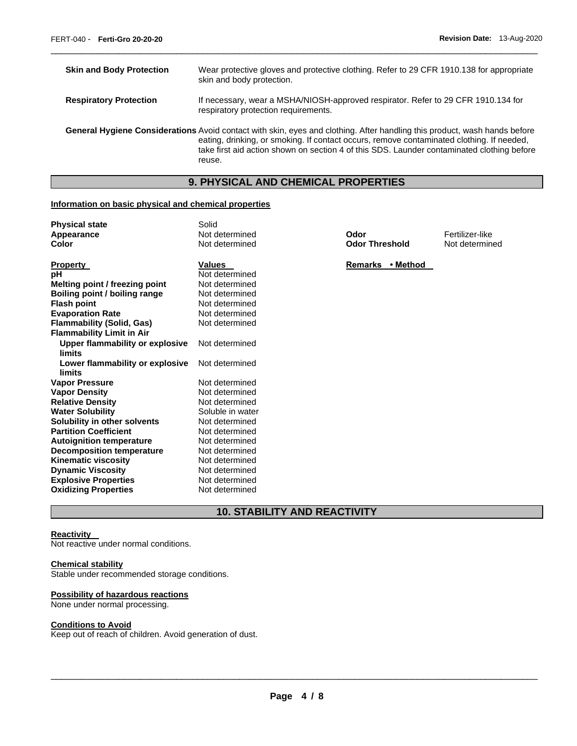| <b>Skin and Body Protection</b> | Wear protective gloves and protective clothing. Refer to 29 CFR 1910.138 for appropriate<br>skin and body protection.                                                                                                                                                                                                          |
|---------------------------------|--------------------------------------------------------------------------------------------------------------------------------------------------------------------------------------------------------------------------------------------------------------------------------------------------------------------------------|
| <b>Respiratory Protection</b>   | If necessary, wear a MSHA/NIOSH-approved respirator. Refer to 29 CFR 1910.134 for<br>respiratory protection requirements.                                                                                                                                                                                                      |
|                                 | General Hygiene Considerations Avoid contact with skin, eyes and clothing. After handling this product, wash hands before<br>eating, drinking, or smoking. If contact occurs, remove contaminated clothing. If needed,<br>take first aid action shown on section 4 of this SDS. Launder contaminated clothing before<br>reuse. |

\_\_\_\_\_\_\_\_\_\_\_\_\_\_\_\_\_\_\_\_\_\_\_\_\_\_\_\_\_\_\_\_\_\_\_\_\_\_\_\_\_\_\_\_\_\_\_\_\_\_\_\_\_\_\_\_\_\_\_\_\_\_\_\_\_\_\_\_\_\_\_\_\_\_\_\_\_\_\_\_\_\_\_\_\_\_\_\_\_\_\_\_\_

# **9. PHYSICAL AND CHEMICAL PROPERTIES**

## **Information on basic physical and chemical properties**

| <b>Physical state</b>            | Solid            |                       |                 |
|----------------------------------|------------------|-----------------------|-----------------|
| Appearance                       | Not determined   | Odor                  | Fertilizer-like |
| Color                            | Not determined   | <b>Odor Threshold</b> | Not determined  |
|                                  |                  |                       |                 |
| <b>Property</b>                  | <b>Values</b>    | Remarks • Method      |                 |
| рH                               | Not determined   |                       |                 |
| Melting point / freezing point   | Not determined   |                       |                 |
| Boiling point / boiling range    | Not determined   |                       |                 |
| <b>Flash point</b>               | Not determined   |                       |                 |
| <b>Evaporation Rate</b>          | Not determined   |                       |                 |
| <b>Flammability (Solid, Gas)</b> | Not determined   |                       |                 |
| <b>Flammability Limit in Air</b> |                  |                       |                 |
| Upper flammability or explosive  | Not determined   |                       |                 |
| limits                           |                  |                       |                 |
| Lower flammability or explosive  | Not determined   |                       |                 |
| limits                           |                  |                       |                 |
| <b>Vapor Pressure</b>            | Not determined   |                       |                 |
| <b>Vapor Density</b>             | Not determined   |                       |                 |
| <b>Relative Density</b>          | Not determined   |                       |                 |
| <b>Water Solubility</b>          | Soluble in water |                       |                 |
| Solubility in other solvents     | Not determined   |                       |                 |
| <b>Partition Coefficient</b>     | Not determined   |                       |                 |
| <b>Autoignition temperature</b>  | Not determined   |                       |                 |
| <b>Decomposition temperature</b> | Not determined   |                       |                 |
| <b>Kinematic viscosity</b>       | Not determined   |                       |                 |
| <b>Dynamic Viscosity</b>         | Not determined   |                       |                 |
| <b>Explosive Properties</b>      | Not determined   |                       |                 |
| <b>Oxidizing Properties</b>      | Not determined   |                       |                 |

**10. STABILITY AND REACTIVITY** 

#### **Reactivity**

Not reactive under normal conditions.

# **Chemical stability**

Stable under recommended storage conditions.

## **Possibility of hazardous reactions**

None under normal processing.

#### **Conditions to Avoid**

Keep out of reach of children. Avoid generation of dust.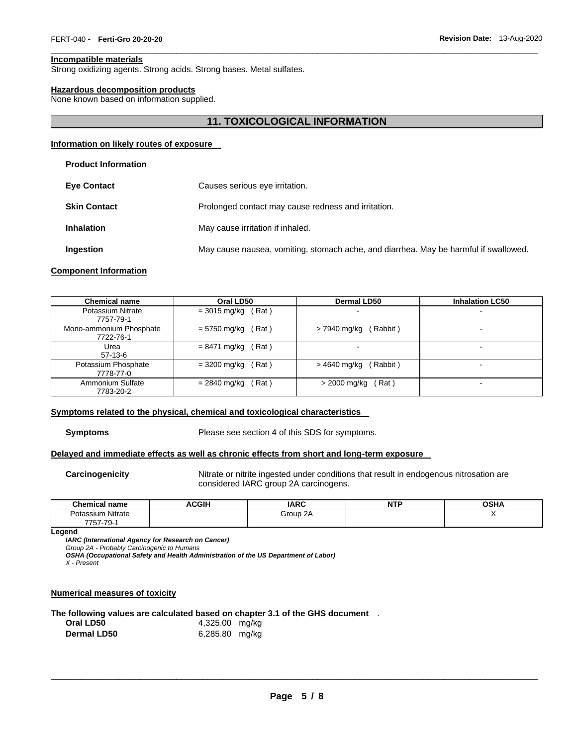#### **Incompatible materials**

Strong oxidizing agents. Strong acids. Strong bases. Metal sulfates.

#### **Hazardous decomposition products**

None known based on information supplied.

## **11. TOXICOLOGICAL INFORMATION**

\_\_\_\_\_\_\_\_\_\_\_\_\_\_\_\_\_\_\_\_\_\_\_\_\_\_\_\_\_\_\_\_\_\_\_\_\_\_\_\_\_\_\_\_\_\_\_\_\_\_\_\_\_\_\_\_\_\_\_\_\_\_\_\_\_\_\_\_\_\_\_\_\_\_\_\_\_\_\_\_\_\_\_\_\_\_\_\_\_\_\_\_\_

#### **Information on likely routes of exposure**

| <b>Eve Contact</b>  | Causes serious eye irritation.                                                       |
|---------------------|--------------------------------------------------------------------------------------|
| <b>Skin Contact</b> | Prolonged contact may cause redness and irritation.                                  |
| <b>Inhalation</b>   | May cause irritation if inhaled.                                                     |
| <b>Ingestion</b>    | May cause nausea, vomiting, stomach ache, and diarrhea. May be harmful if swallowed. |

#### **Component Information**

| <b>Chemical name</b>           | Oral LD50              | <b>Dermal LD50</b>       | <b>Inhalation LC50</b>   |
|--------------------------------|------------------------|--------------------------|--------------------------|
| Potassium Nitrate<br>7757-79-1 | $= 3015$ mg/kg<br>Rat) |                          | $\overline{\phantom{a}}$ |
| Mono-ammonium Phosphate        | = 5750 mg/kg           | Rabbit)                  | $\overline{\phantom{0}}$ |
| 7722-76-1                      | Rat)                   | > 7940 mg/kg             |                          |
| Urea<br>57-13-6                | $= 8471$ mg/kg<br>Rat) | $\overline{\phantom{0}}$ | $\blacksquare$           |
| Potassium Phosphate            | Rat)                   | (Rabbit)                 | $\sim$                   |
| 7778-77-0                      | $= 3200$ mg/kg         | > 4640 mg/kg             |                          |
| Ammonium Sulfate               | Rat)                   | > 2000 mg/kg             | $\overline{\phantom{a}}$ |
| 7783-20-2                      | $= 2840$ mg/kg         | Rat)                     |                          |

#### **Symptoms related to the physical, chemical and toxicological characteristics**

**Symptoms** Please see section 4 of this SDS for symptoms.

#### **Delayed and immediate effects as well as chronic effects from short and long-term exposure**

**Carcinogenicity** Nitrate or nitrite ingested under conditions that result in endogenous nitrosation are considered IARC group 2A carcinogens.

| Chemical<br>name                                                    | <b>ACGIH</b> | <b>IARC</b> | <b>NTP</b><br>. | <b>OSHA</b> |
|---------------------------------------------------------------------|--------------|-------------|-----------------|-------------|
| .<br>Nitrate<br>. utassium<br>7757<br>$70^{\circ}$<br>757-<br>, u., |              | 2A<br>Group |                 | $\cdot$ .   |

**Legend** 

*IARC (International Agency for Research on Cancer)*

*Group 2A - Probably Carcinogenic to Humans* 

*OSHA (Occupational Safety and Health Administration of the US Department of Labor)*

*X - Present* 

#### **Numerical measures of toxicity**

**The following values are calculated based on chapter 3.1 of the GHS document** .

| Oral LD50          | 4,325.00 mg/kg |  |
|--------------------|----------------|--|
| <b>Dermal LD50</b> | 6,285.80 mg/kg |  |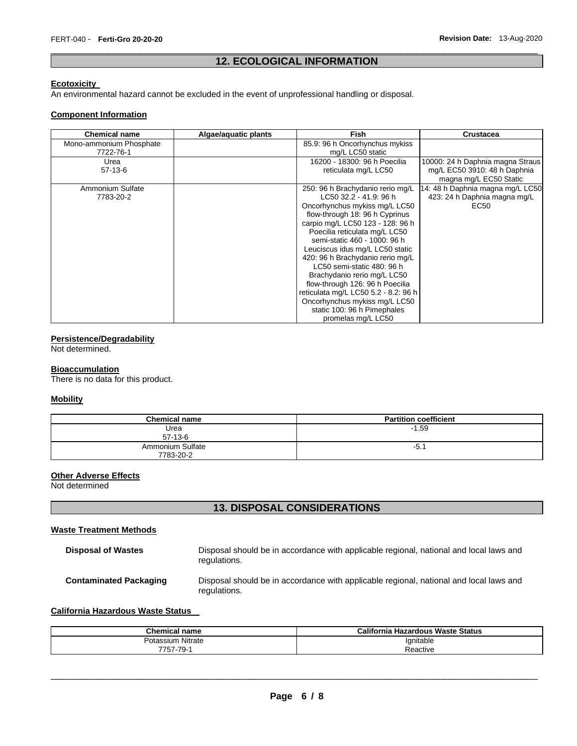## \_\_\_\_\_\_\_\_\_\_\_\_\_\_\_\_\_\_\_\_\_\_\_\_\_\_\_\_\_\_\_\_\_\_\_\_\_\_\_\_\_\_\_\_\_\_\_\_\_\_\_\_\_\_\_\_\_\_\_\_\_\_\_\_\_\_\_\_\_\_\_\_\_\_\_\_\_\_\_\_\_\_\_\_\_\_\_\_\_\_\_\_\_ **12. ECOLOGICAL INFORMATION**

#### **Ecotoxicity**

An environmental hazard cannot be excluded in the event of unprofessional handling or disposal.

#### **Component Information**

| <b>Chemical name</b>    | Algae/aquatic plants | <b>Fish</b>                          | Crustacea                        |
|-------------------------|----------------------|--------------------------------------|----------------------------------|
| Mono-ammonium Phosphate |                      | 85.9: 96 h Oncorhynchus mykiss       |                                  |
| 7722-76-1               |                      | mg/L LC50 static                     |                                  |
| Urea                    |                      | 16200 - 18300: 96 h Poecilia         | 10000: 24 h Daphnia magna Straus |
| $57 - 13 - 6$           |                      | reticulata mg/L LC50                 | mg/L EC50 3910: 48 h Daphnia     |
|                         |                      |                                      | magna mg/L EC50 Static           |
| Ammonium Sulfate        |                      | 250: 96 h Brachydanio rerio mg/L     | 14: 48 h Daphnia magna mg/L LC50 |
| 7783-20-2               |                      | LC50 32.2 - 41.9: 96 h               | 423: 24 h Daphnia magna mg/L     |
|                         |                      | Oncorhynchus mykiss mg/L LC50        | EC50                             |
|                         |                      | flow-through 18: 96 h Cyprinus       |                                  |
|                         |                      | carpio mg/L LC50 123 - 128: 96 h     |                                  |
|                         |                      | Poecilia reticulata mg/L LC50        |                                  |
|                         |                      | semi-static 460 - 1000: 96 h         |                                  |
|                         |                      | Leuciscus idus mg/L LC50 static      |                                  |
|                         |                      | 420: 96 h Brachydanio rerio mg/L     |                                  |
|                         |                      | LC50 semi-static 480: 96 h           |                                  |
|                         |                      | Brachydanio rerio mg/L LC50          |                                  |
|                         |                      | flow-through 126: 96 h Poecilia      |                                  |
|                         |                      | reticulata mg/L LC50 5.2 - 8.2: 96 h |                                  |
|                         |                      | Oncorhynchus mykiss mg/L LC50        |                                  |
|                         |                      | static 100: 96 h Pimephales          |                                  |
|                         |                      | promelas mg/L LC50                   |                                  |

# **Persistence/Degradability**

Not determined.

## **Bioaccumulation**

There is no data for this product.

#### **Mobility**

| <b>Chemical name</b>          | <b>Partition coefficient</b> |
|-------------------------------|------------------------------|
| Urea<br>$57-13-6$             | $-1.59$                      |
| Ammonium Sulfate<br>7783-20-2 | $-5.1$                       |

## **Other Adverse Effects**

Not determined

# **13. DISPOSAL CONSIDERATIONS**

#### **Waste Treatment Methods**

| <b>Disposal of Wastes</b>     | Disposal should be in accordance with applicable regional, national and local laws and<br>regulations. |
|-------------------------------|--------------------------------------------------------------------------------------------------------|
| <b>Contaminated Packaging</b> | Disposal should be in accordance with applicable regional, national and local laws and<br>regulations. |

## **California Hazardous Waste Status**

| <b>Chemical</b><br>name | California<br>เ Hazardous Waste Status |
|-------------------------|----------------------------------------|
| Potassium Nitrate       | Ignitable                              |
| -79-<br>، ت             | Reactive                               |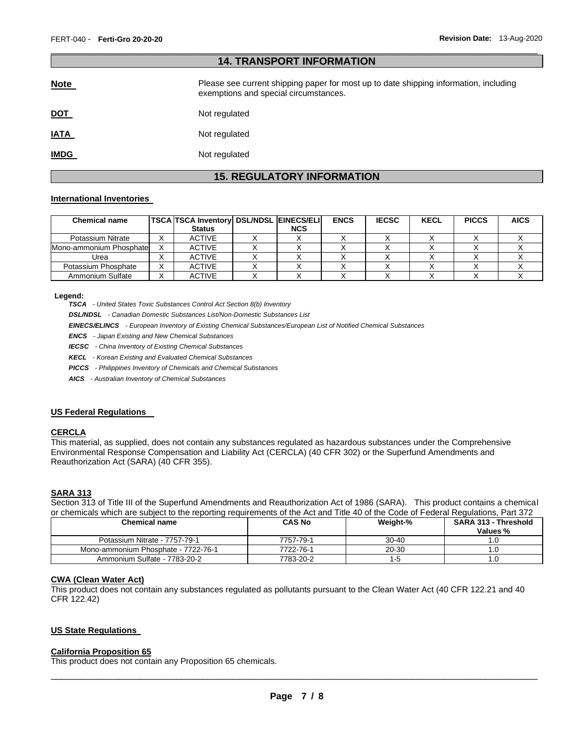| <b>14. TRANSPORT INFORMATION</b> |                                                                                                                                |  |  |  |  |
|----------------------------------|--------------------------------------------------------------------------------------------------------------------------------|--|--|--|--|
| <b>Note</b>                      | Please see current shipping paper for most up to date shipping information, including<br>exemptions and special circumstances. |  |  |  |  |
| <u>DOT</u>                       | Not regulated                                                                                                                  |  |  |  |  |
| <b>IATA</b>                      | Not regulated                                                                                                                  |  |  |  |  |
| <b>IMDG</b>                      | Not regulated                                                                                                                  |  |  |  |  |

\_\_\_\_\_\_\_\_\_\_\_\_\_\_\_\_\_\_\_\_\_\_\_\_\_\_\_\_\_\_\_\_\_\_\_\_\_\_\_\_\_\_\_\_\_\_\_\_\_\_\_\_\_\_\_\_\_\_\_\_\_\_\_\_\_\_\_\_\_\_\_\_\_\_\_\_\_\_\_\_\_\_\_\_\_\_\_\_\_\_\_\_\_

# **15. REGULATORY INFORMATION**

#### **International Inventories**

| <b>Chemical name</b>     |   | <b>TSCA TSCA Inventory DSL/NDSL EINECS/ELI</b> |            | <b>ENCS</b> | <b>IECSC</b> | <b>KECL</b> | <b>PICCS</b> | <b>AICS</b> |
|--------------------------|---|------------------------------------------------|------------|-------------|--------------|-------------|--------------|-------------|
|                          |   | <b>Status</b>                                  | <b>NCS</b> |             |              |             |              |             |
| Potassium Nitrate        |   | <b>ACTIVE</b>                                  |            |             |              |             |              |             |
| Mono-ammonium Phosphatel |   | <b>ACTIVE</b>                                  |            |             |              |             |              |             |
| Urea                     | ⌒ | <b>ACTIVE</b>                                  |            |             |              |             |              |             |
| Potassium Phosphate      |   | <b>ACTIVE</b>                                  |            |             |              |             |              |             |
| Ammonium Sulfate         | ⌒ | <b>ACTIVE</b>                                  |            |             |              |             |              |             |

#### **Legend:**

*TSCA - United States Toxic Substances Control Act Section 8(b) Inventory* 

*DSL/NDSL - Canadian Domestic Substances List/Non-Domestic Substances List* 

*EINECS/ELINCS - European Inventory of Existing Chemical Substances/European List of Notified Chemical Substances* 

*ENCS - Japan Existing and New Chemical Substances* 

*IECSC - China Inventory of Existing Chemical Substances* 

*KECL - Korean Existing and Evaluated Chemical Substances* 

*PICCS - Philippines Inventory of Chemicals and Chemical Substances* 

*AICS - Australian Inventory of Chemical Substances* 

#### **US Federal Regulations**

# **CERCLA**

This material, as supplied, does not contain any substances regulated as hazardous substances under the Comprehensive Environmental Response Compensation and Liability Act (CERCLA) (40 CFR 302) or the Superfund Amendments and Reauthorization Act (SARA) (40 CFR 355).

# **SARA 313**

Section 313 of Title III of the Superfund Amendments and Reauthorization Act of 1986 (SARA). This product contains a chemical or chemicals which are subject to the reporting requirements of the Act and Title 40 of the Code of Federal Regulations, Part 372

| <b>Chemical name</b>                | <b>CAS No</b> | Weight-%  | <b>SARA 313 - Threshold</b><br>Values % |
|-------------------------------------|---------------|-----------|-----------------------------------------|
| Potassium Nitrate - 7757-79-1       | 7757-79-1     | $30 - 40$ |                                         |
| Mono-ammonium Phosphate - 7722-76-1 | 7722-76-1     | $20 - 30$ |                                         |
| Ammonium Sulfate - 7783-20-2        | 7783-20-2     | $-5$      |                                         |

#### **CWA (Clean Water Act)**

This product does not contain any substances regulated as pollutants pursuant to the Clean Water Act (40 CFR 122.21 and 40 CFR 122.42)

#### **US State Regulations**

# **California Proposition 65**

This product does not contain any Proposition 65 chemicals.